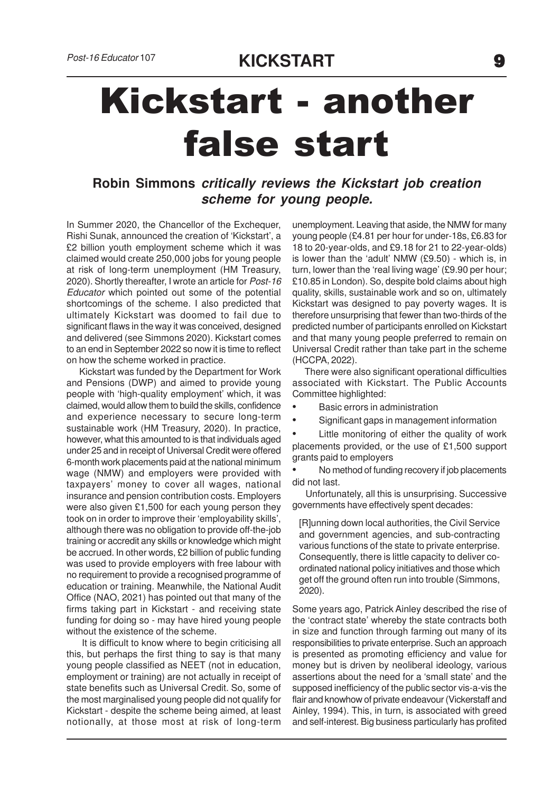## Kickstart - another false start

**Robin Simmons critically reviews the Kickstart job creation scheme for young people.**

In Summer 2020, the Chancellor of the Exchequer, Rishi Sunak, announced the creation of 'Kickstart', a £2 billion youth employment scheme which it was claimed would create 250,000 jobs for young people at risk of long-term unemployment (HM Treasury, 2020). Shortly thereafter, I wrote an article for Post-16 Educator which pointed out some of the potential shortcomings of the scheme. I also predicted that ultimately Kickstart was doomed to fail due to significant flaws in the way it was conceived, designed and delivered (see Simmons 2020). Kickstart comes to an end in September 2022 so now it is time to reflect on how the scheme worked in practice.

 Kickstart was funded by the Department for Work and Pensions (DWP) and aimed to provide young people with 'high-quality employment' which, it was claimed, would allow them to build the skills, confidence and experience necessary to secure long-term sustainable work (HM Treasury, 2020). In practice, however, what this amounted to is that individuals aged under 25 and in receipt of Universal Credit were offered 6-month work placements paid at the national minimum wage (NMW) and employers were provided with taxpayers' money to cover all wages, national insurance and pension contribution costs. Employers were also given £1,500 for each young person they took on in order to improve their 'employability skills', although there was no obligation to provide off-the-job training or accredit any skills or knowledge which might be accrued. In other words, £2 billion of public funding was used to provide employers with free labour with no requirement to provide a recognised programme of education or training. Meanwhile, the National Audit Office (NAO, 2021) has pointed out that many of the firms taking part in Kickstart - and receiving state funding for doing so - may have hired young people without the existence of the scheme.

 It is difficult to know where to begin criticising all this, but perhaps the first thing to say is that many young people classified as NEET (not in education, employment or training) are not actually in receipt of state benefits such as Universal Credit. So, some of the most marginalised young people did not qualify for Kickstart - despite the scheme being aimed, at least notionally, at those most at risk of long-term

unemployment. Leaving that aside, the NMW for many young people (£4.81 per hour for under-18s, £6.83 for 18 to 20-year-olds, and £9.18 for 21 to 22-year-olds) is lower than the 'adult' NMW (£9.50) - which is, in turn, lower than the 'real living wage' (£9.90 per hour; £10.85 in London). So, despite bold claims about high quality, skills, sustainable work and so on, ultimately Kickstart was designed to pay poverty wages. It is therefore unsurprising that fewer than two-thirds of the predicted number of participants enrolled on Kickstart and that many young people preferred to remain on Universal Credit rather than take part in the scheme (HCCPA, 2022).

 There were also significant operational difficulties associated with Kickstart. The Public Accounts Committee highlighted:

- Basic errors in administration
- Significant gaps in management information

Little monitoring of either the quality of work placements provided, or the use of £1,500 support grants paid to employers

• No method of funding recovery if job placements did not last.

 Unfortunately, all this is unsurprising. Successive governments have effectively spent decades:

[R]unning down local authorities, the Civil Service and government agencies, and sub-contracting various functions of the state to private enterprise. Consequently, there is little capacity to deliver coordinated national policy initiatives and those which get off the ground often run into trouble (Simmons, 2020).

Some years ago, Patrick Ainley described the rise of the 'contract state' whereby the state contracts both in size and function through farming out many of its responsibilities to private enterprise. Such an approach is presented as promoting efficiency and value for money but is driven by neoliberal ideology, various assertions about the need for a 'small state' and the supposed inefficiency of the public sector vis-a-vis the flair and knowhow of private endeavour (Vickerstaff and Ainley, 1994). This, in turn, is associated with greed and self-interest. Big business particularly has profited